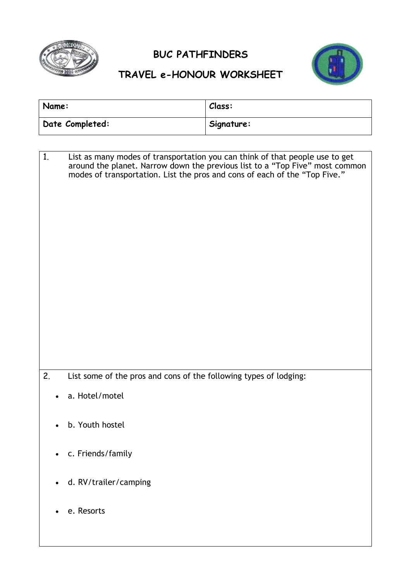

## **BUC PATHFINDERS**



## **TRAVEL e-HONOUR WORKSHEET**

| Name:           | Class:     |
|-----------------|------------|
| Date Completed: | Signature: |

| 1. |           | List as many modes of transportation you can think of that people use to get<br>around the planet. Narrow down the previous list to a "Top Five" most common<br>modes of transportation. List the pros and cons of each of the "Top Five." |
|----|-----------|--------------------------------------------------------------------------------------------------------------------------------------------------------------------------------------------------------------------------------------------|
| 2. |           | List some of the pros and cons of the following types of lodging:                                                                                                                                                                          |
|    |           | a. Hotel/motel                                                                                                                                                                                                                             |
|    |           | b. Youth hostel                                                                                                                                                                                                                            |
|    |           | c. Friends/family                                                                                                                                                                                                                          |
|    | $\bullet$ | d. RV/trailer/camping                                                                                                                                                                                                                      |
|    |           | e. Resorts                                                                                                                                                                                                                                 |
|    |           |                                                                                                                                                                                                                                            |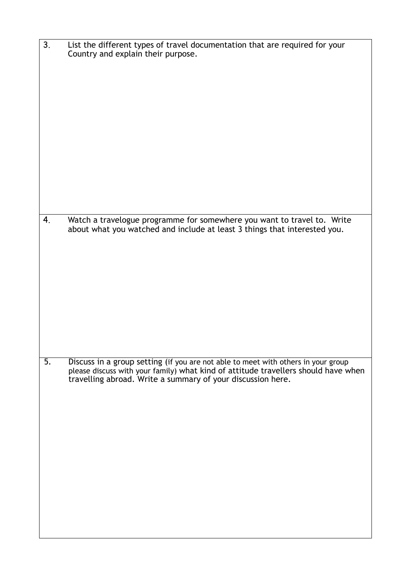| 3.               | List the different types of travel documentation that are required for your<br>Country and explain their purpose.                                                                                                                      |
|------------------|----------------------------------------------------------------------------------------------------------------------------------------------------------------------------------------------------------------------------------------|
| 4.               | Watch a travelogue programme for somewhere you want to travel to. Write<br>about what you watched and include at least 3 things that interested you.                                                                                   |
| $\overline{5}$ . | Discuss in a group setting (if you are not able to meet with others in your group<br>please discuss with your family) what kind of attitude travellers should have when<br>travelling abroad. Write a summary of your discussion here. |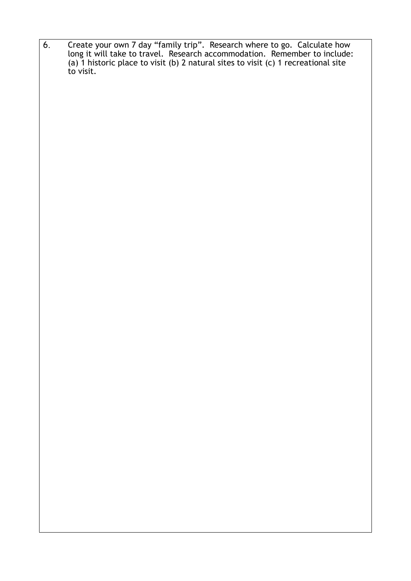6. Create your own 7 day "family trip". Research where to go. Calculate how long it will take to travel. Research accommodation. Remember to include: (a) 1 historic place to visit (b) 2 natural sites to visit (c) 1 recreational site to visit.